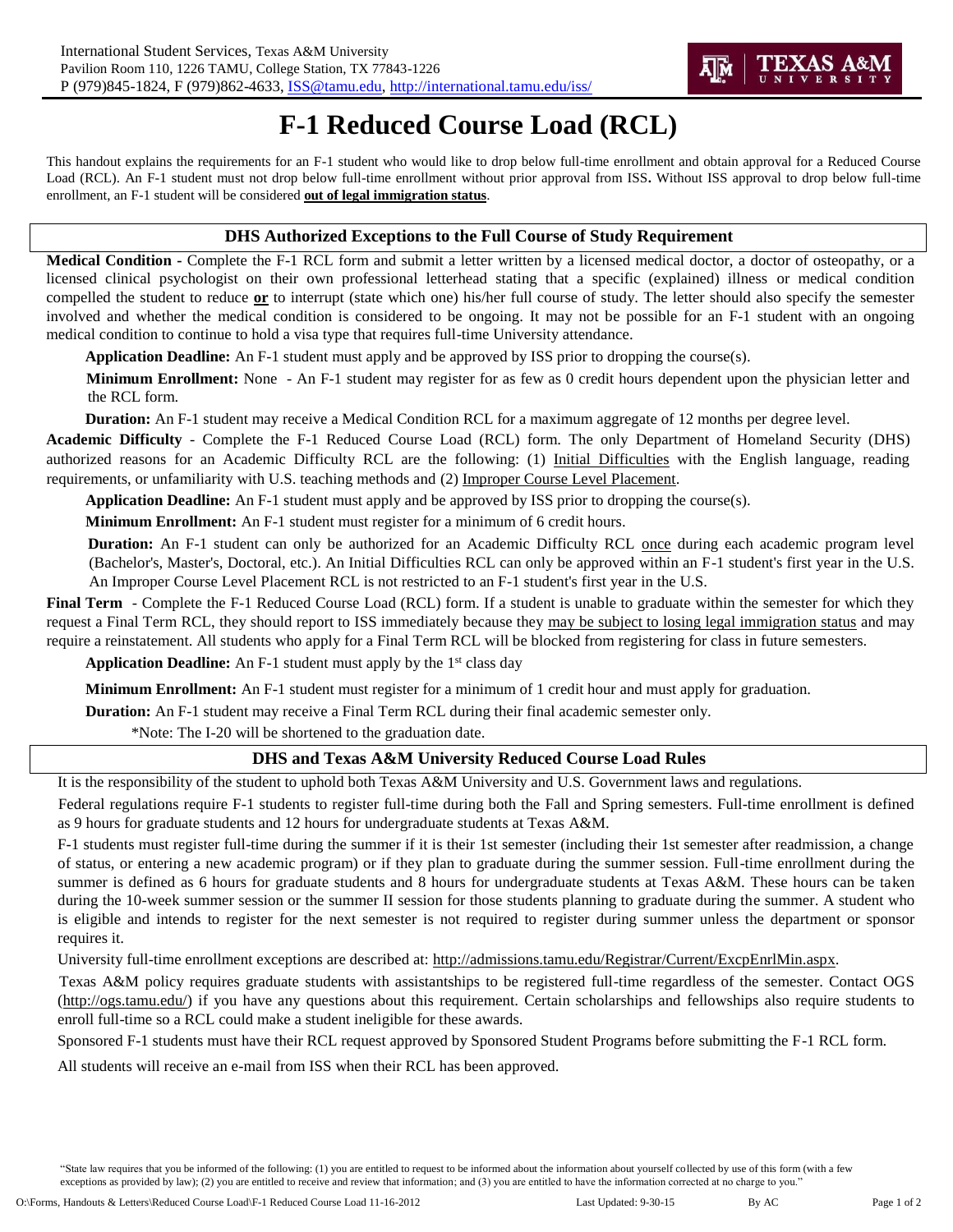

## **F-1 Reduced Course Load (RCL)**

This handout explains the requirements for an F-1 student who would like to drop below full-time enrollment and obtain approval for a Reduced Course Load (RCL). An F-1 student must not drop below full-time enrollment without prior approval from ISS**.** Without ISS approval to drop below full-time enrollment, an F-1 student will be considered **out of legal immigration status**.

## **DHS Authorized Exceptions to the Full Course of Study Requirement**

**Medical Condition -** Complete the F-1 RCL form and submit a letter written by a licensed medical doctor, a doctor of osteopathy, or a licensed clinical psychologist on their own professional letterhead stating that a specific (explained) illness or medical condition compelled the student to reduce **or** to interrupt (state which one) his/her full course of study. The letter should also specify the semester involved and whether the medical condition is considered to be ongoing. It may not be possible for an F-1 student with an ongoing medical condition to continue to hold a visa type that requires full-time University attendance.

**Application Deadline:** An F-1 student must apply and be approved by ISS prior to dropping the course(s).

**Minimum Enrollment:** None - An F-1 student may register for as few as 0 credit hours dependent upon the physician letter and the RCL form.

**Duration:** An F-1 student may receive a Medical Condition RCL for a maximum aggregate of 12 months per degree level.

**Academic Difficulty** - Complete the F-1 Reduced Course Load (RCL) form. The only Department of Homeland Security (DHS) authorized reasons for an Academic Difficulty RCL are the following: (1) Initial Difficulties with the English language, reading requirements, or unfamiliarity with U.S. teaching methods and (2) Improper Course Level Placement.

**Application Deadline:** An F-1 student must apply and be approved by ISS prior to dropping the course(s).

**Minimum Enrollment:** An F-1 student must register for a minimum of 6 credit hours.

**Duration:** An F-1 student can only be authorized for an Academic Difficulty RCL <u>once</u> during each academic program level (Bachelor's, Master's, Doctoral, etc.). An Initial Difficulties RCL can only be approved within an F-1 student's first year in the U.S. An Improper Course Level Placement RCL is not restricted to an F-1 student's first year in the U.S.

**Final Term** - Complete the F-1 Reduced Course Load (RCL) form. If a student is unable to graduate within the semester for which they request a Final Term RCL, they should report to ISS immediately because they may be subject to losing legal immigration status and may require a reinstatement. All students who apply for a Final Term RCL will be blocked from registering for class in future semesters.

**Application Deadline:** An F-1 student must apply by the 1<sup>st</sup> class day

**Minimum Enrollment:** An F-1 student must register for a minimum of 1 credit hour and must apply for graduation.

**Duration:** An F-1 student may receive a Final Term RCL during their final academic semester only.

\*Note: The I-20 will be shortened to the graduation date.

## **DHS and Texas A&M University Reduced Course Load Rules**

It is the responsibility of the student to uphold both Texas A&M University and U.S. Government laws and regulations.

Federal regulations require F-1 students to register full-time during both the Fall and Spring semesters. Full-time enrollment is defined as 9 hours for graduate students and 12 hours for undergraduate students at Texas A&M.

F-1 students must register full-time during the summer if it is their 1st semester (including their 1st semester after readmission, a change of status, or entering a new academic program) or if they plan to graduate during the summer session. Full-time enrollment during the summer is defined as 6 hours for graduate students and 8 hours for undergraduate students at Texas A&M. These hours can be taken during the 10-week summer session or the summer II session for those students planning to graduate during the summer. A student who is eligible and intends to register for the next semester is not required to register during summer unless the department or sponsor requires it.

University full-time enrollment exceptions are described at: [http://admissions.tamu.edu/Registrar/Current/ExcpEnrlMin.aspx.](http://admissions.tamu.edu/Registrar/Current/ExcpEnrlMin.aspx)

Texas A&M policy requires graduate students with assistantships to be registered full-time regardless of the semester. Contact OGS [\(http://ogs.tamu.edu/\)](http://ogs.tamu.edu/)) if you have any questions about this requirement. Certain scholarships and fellowships also require students to enroll full-time so a RCL could make a student ineligible for these awards.

Sponsored F-1 students must have their RCL request approved by Sponsored Student Programs before submitting the F-1 RCL form.

All students will receive an e-mail from ISS when their RCL has been approved.